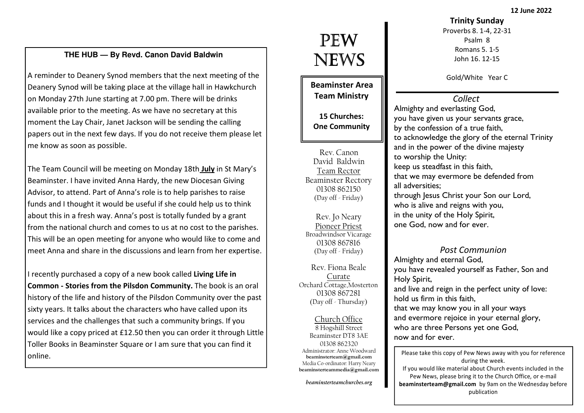12 June 2022

## **THE HUB — By Revd. Canon David Baldwin**

A reminder to Deanery Synod members that the next meeting of the Deanery Synod will be taking place at the village hall in Hawkchurch on Monday 27th June starting at 7.00 pm. There will be drinks available prior to the meeting. As we have no secretary at this moment the Lay Chair, Janet Jackson will be sending the calling papers out in the next few days. If you do not receive them please let me know as soon as possible.

The Team Council will be meeting on Monday 18th July in St Mary's Beaminster. I have invited Anna Hardy, the new Diocesan Giving Advisor, to attend. Part of Anna's role is to help parishes to raise funds and I thought it would be useful if she could help us to think about this in a fresh way. Anna's post is totally funded by a grant from the national church and comes to us at no cost to the parishes. This will be an open meeting for anyone who would like to come and meet Anna and share in the discussions and learn from her expertise.

I recently purchased a copy of a new book called Living Life in Common - Stories from the Pilsdon Community. The book is an oral history of the life and history of the Pilsdon Community over the past sixty years. It talks about the characters who have called upon its services and the challenges that such a community brings. If you would like a copy priced at £12.50 then you can order it through Little Toller Books in Beaminster Square or I am sure that you can find it online.

# PEW NEWS

Beaminster Area Team Ministry

15 Churches: One Community

Rev. Canon David Baldwin Team Rector Beaminster Rectory 01308 862150 (Day off - Friday)

Rev. Jo Neary Pioneer Priest Broadwindsor Vicarage 01308 867816 (Day off - Friday)

Rev. Fiona Beale Curate Orchard Cottage,Mosterton 01308 867281(Day off - Thursday)

Church Office 8 Hogshill Street Beaminster DT8 3AE 01308 862320 Administrator: Anne Woodward beaminsterteam@gmail.com Media Co-ordinator: Harry Nearybeaminsterteammedia@gmail.com

beaminsterteamchurches.org

Trinity Sunday Proverbs 8. 1-4, 22-31 Psalm 8 Romans 5. 1-5 John 16. 12-15

Gold/White Year C

Collect Almighty and everlasting God, you have given us your servants grace, by the confession of a true faith, to acknowledge the glory of the eternal Trinity and in the power of the divine majesty to worship the Unity: keep us steadfast in this faith, that we may evermore be defended from all adversities; through Jesus Christ your Son our Lord, who is alive and reigns with you, in the unity of the Holy Spirit, one God, now and for ever.

#### Post Communion

Almighty and eternal God, you have revealed yourself as Father, Son and Holy Spirit, and live and reign in the perfect unity of love: hold us firm in this faith, that we may know you in all your ways and evermore rejoice in your eternal glory, who are three Persons yet one God, now and for ever.

Please take this copy of Pew News away with you for reference during the week. If you would like material about Church events included in the Pew News, please bring it to the Church Office, or e-mail beaminsterteam@gmail.com by 9am on the Wednesday before publication